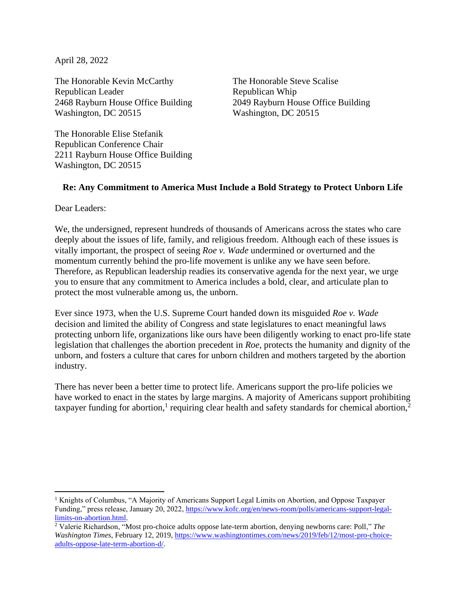April 28, 2022

The Honorable Kevin McCarthy Republican Leader 2468 Rayburn House Office Building Washington, DC 20515

The Honorable Steve Scalise Republican Whip 2049 Rayburn House Office Building Washington, DC 20515

The Honorable Elise Stefanik Republican Conference Chair 2211 Rayburn House Office Building Washington, DC 20515

## **Re: Any Commitment to America Must Include a Bold Strategy to Protect Unborn Life**

Dear Leaders:

We, the undersigned, represent hundreds of thousands of Americans across the states who care deeply about the issues of life, family, and religious freedom. Although each of these issues is vitally important, the prospect of seeing *Roe v. Wade* undermined or overturned and the momentum currently behind the pro-life movement is unlike any we have seen before. Therefore, as Republican leadership readies its conservative agenda for the next year, we urge you to ensure that any commitment to America includes a bold, clear, and articulate plan to protect the most vulnerable among us, the unborn.

Ever since 1973, when the U.S. Supreme Court handed down its misguided *Roe v. Wade*  decision and limited the ability of Congress and state legislatures to enact meaningful laws protecting unborn life, organizations like ours have been diligently working to enact pro-life state legislation that challenges the abortion precedent in *Roe*, protects the humanity and dignity of the unborn, and fosters a culture that cares for unborn children and mothers targeted by the abortion industry.

There has never been a better time to protect life. Americans support the pro-life policies we have worked to enact in the states by large margins. A majority of Americans support prohibiting taxpayer funding for abortion,<sup>1</sup> requiring clear health and safety standards for chemical abortion,<sup>2</sup>

<sup>1</sup> Knights of Columbus, "A Majority of Americans Support Legal Limits on Abortion, and Oppose Taxpayer Funding," press release, January 20, 2022, [https://www.kofc.org/en/news-room/polls/americans-support-legal](https://www.kofc.org/en/news-room/polls/americans-support-legal-limits-on-abortion.html)[limits-on-abortion.html.](https://www.kofc.org/en/news-room/polls/americans-support-legal-limits-on-abortion.html)

<sup>2</sup> Valerie Richardson, "Most pro-choice adults oppose late-term abortion, denying newborns care: Poll," *The Washington Times*, February 12, 2019, [https://www.washingtontimes.com/news/2019/feb/12/most-pro-choice](https://www.washingtontimes.com/news/2019/feb/12/most-pro-choice-adults-oppose-late-term-abortion-d/)[adults-oppose-late-term-abortion-d/.](https://www.washingtontimes.com/news/2019/feb/12/most-pro-choice-adults-oppose-late-term-abortion-d/)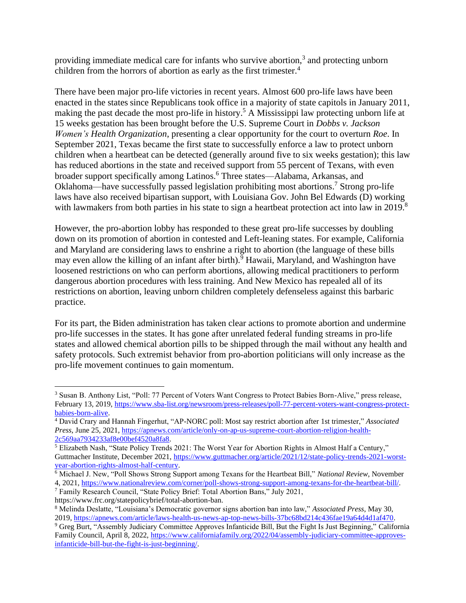providing immediate medical care for infants who survive abortion,<sup>3</sup> and protecting unborn children from the horrors of abortion as early as the first trimester.<sup>4</sup>

There have been major pro-life victories in recent years. Almost 600 pro-life laws have been enacted in the states since Republicans took office in a majority of state capitols in January 2011, making the past decade the most pro-life in history.<sup>5</sup> A Mississippi law protecting unborn life at 15 weeks gestation has been brought before the U.S. Supreme Court in *Dobbs v. Jackson Women's Health Organization*, presenting a clear opportunity for the court to overturn *Roe*. In September 2021, Texas became the first state to successfully enforce a law to protect unborn children when a heartbeat can be detected (generally around five to six weeks gestation); this law has reduced abortions in the state and received support from 55 percent of Texans, with even broader support specifically among Latinos.<sup>6</sup> Three states—Alabama, Arkansas, and Oklahoma—have successfully passed legislation prohibiting most abortions. <sup>7</sup> Strong pro-life laws have also received bipartisan support, with Louisiana Gov. John Bel Edwards (D) working with lawmakers from both parties in his state to sign a heartbeat protection act into law in 2019.<sup>8</sup>

However, the pro-abortion lobby has responded to these great pro-life successes by doubling down on its promotion of abortion in contested and Left-leaning states. For example, California and Maryland are considering laws to enshrine a right to abortion (the language of these bills may even allow the killing of an infant after birth).<sup>9</sup> Hawaii, Maryland, and Washington have loosened restrictions on who can perform abortions, allowing medical practitioners to perform dangerous abortion procedures with less training. And New Mexico has repealed all of its restrictions on abortion, leaving unborn children completely defenseless against this barbaric practice.

For its part, the Biden administration has taken clear actions to promote abortion and undermine pro-life successes in the states. It has gone after unrelated federal funding streams in pro-life states and allowed chemical abortion pills to be shipped through the mail without any health and safety protocols. Such extremist behavior from pro-abortion politicians will only increase as the pro-life movement continues to gain momentum.

<sup>7</sup> Family Research Council, "State Policy Brief: Total Abortion Bans," July 2021,

https://www.frc.org/statepolicybrief/total-abortion-ban.

<sup>3</sup> Susan B. Anthony List, "Poll: 77 Percent of Voters Want Congress to Protect Babies Born-Alive," press release, February 13, 2019[, https://www.sba-list.org/newsroom/press-releases/poll-77-percent-voters-want-congress-protect](https://www.sba-list.org/newsroom/press-releases/poll-77-percent-voters-want-congress-protect-babies-born-alive)[babies-born-alive.](https://www.sba-list.org/newsroom/press-releases/poll-77-percent-voters-want-congress-protect-babies-born-alive)

<sup>4</sup> David Crary and Hannah Fingerhut, "AP-NORC poll: Most say restrict abortion after 1st trimester," *Associated Press*, June 25, 2021, [https://apnews.com/article/only-on-ap-us-supreme-court-abortion-religion-health-](https://apnews.com/article/only-on-ap-us-supreme-court-abortion-religion-health-2c569aa7934233af8e00bef4520a8fa8)[2c569aa7934233af8e00bef4520a8fa8.](https://apnews.com/article/only-on-ap-us-supreme-court-abortion-religion-health-2c569aa7934233af8e00bef4520a8fa8)

<sup>5</sup> Elizabeth Nash, "State Policy Trends 2021: The Worst Year for Abortion Rights in Almost Half a Century," Guttmacher Institute, December 2021, [https://www.guttmacher.org/article/2021/12/state-policy-trends-2021-worst](https://www.guttmacher.org/article/2021/12/state-policy-trends-2021-worst-year-abortion-rights-almost-half-century)[year-abortion-rights-almost-half-century.](https://www.guttmacher.org/article/2021/12/state-policy-trends-2021-worst-year-abortion-rights-almost-half-century)

<sup>6</sup> Michael J. New, "Poll Shows Strong Support among Texans for the Heartbeat Bill," *National Review*, November 4, 2021, [https://www.nationalreview.com/corner/poll-shows-strong-support-among-texans-for-the-heartbeat-bill/.](https://www.nationalreview.com/corner/poll-shows-strong-support-among-texans-for-the-heartbeat-bill/)

<sup>8</sup> Melinda Deslatte, "Louisiana's Democratic governor signs abortion ban into law," *Associated Press*, May 30, 2019, [https://apnews.com/article/laws-health-us-news-ap-top-news-bills-37bc68bd214c436fae19a64d4d1af470.](https://apnews.com/article/laws-health-us-news-ap-top-news-bills-37bc68bd214c436fae19a64d4d1af470)

<sup>9</sup> Greg Burt, "Assembly Judiciary Committee Approves Infanticide Bill, But the Fight Is Just Beginning," California Family Council, April 8, 2022, [https://www.californiafamily.org/2022/04/assembly-judiciary-committee-approves](https://www.californiafamily.org/2022/04/assembly-judiciary-committee-approves-infanticide-bill-but-the-fight-is-just-beginning/)[infanticide-bill-but-the-fight-is-just-beginning/.](https://www.californiafamily.org/2022/04/assembly-judiciary-committee-approves-infanticide-bill-but-the-fight-is-just-beginning/)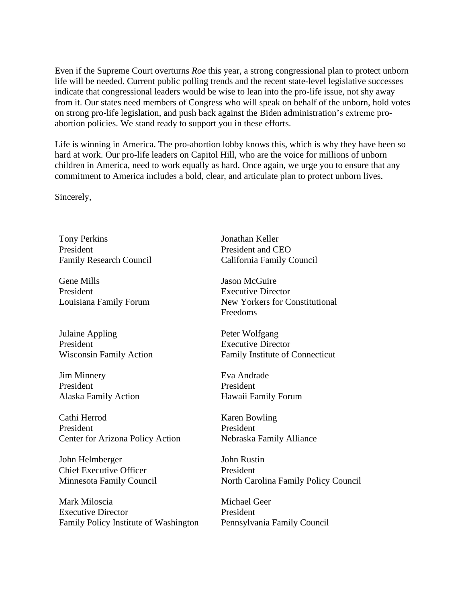Even if the Supreme Court overturns *Roe* this year, a strong congressional plan to protect unborn life will be needed. Current public polling trends and the recent state-level legislative successes indicate that congressional leaders would be wise to lean into the pro-life issue, not shy away from it. Our states need members of Congress who will speak on behalf of the unborn, hold votes on strong pro-life legislation, and push back against the Biden administration's extreme proabortion policies. We stand ready to support you in these efforts.

Life is winning in America. The pro-abortion lobby knows this, which is why they have been so hard at work. Our pro-life leaders on Capitol Hill, who are the voice for millions of unborn children in America, need to work equally as hard. Once again, we urge you to ensure that any commitment to America includes a bold, clear, and articulate plan to protect unborn lives.

Sincerely,

Tony Perkins President Family Research Council

Gene Mills President Louisiana Family Forum

Julaine Appling President Wisconsin Family Action

Jim Minnery President Alaska Family Action

Cathi Herrod President Center for Arizona Policy Action

John Helmberger Chief Executive Officer Minnesota Family Council

Mark Miloscia Executive Director Family Policy Institute of Washington Jonathan Keller President and CEO California Family Council

Jason McGuire Executive Director New Yorkers for Constitutional Freedoms

Peter Wolfgang Executive Director Family Institute of Connecticut

Eva Andrade President Hawaii Family Forum

Karen Bowling President Nebraska Family Alliance

John Rustin President North Carolina Family Policy Council

Michael Geer President Pennsylvania Family Council